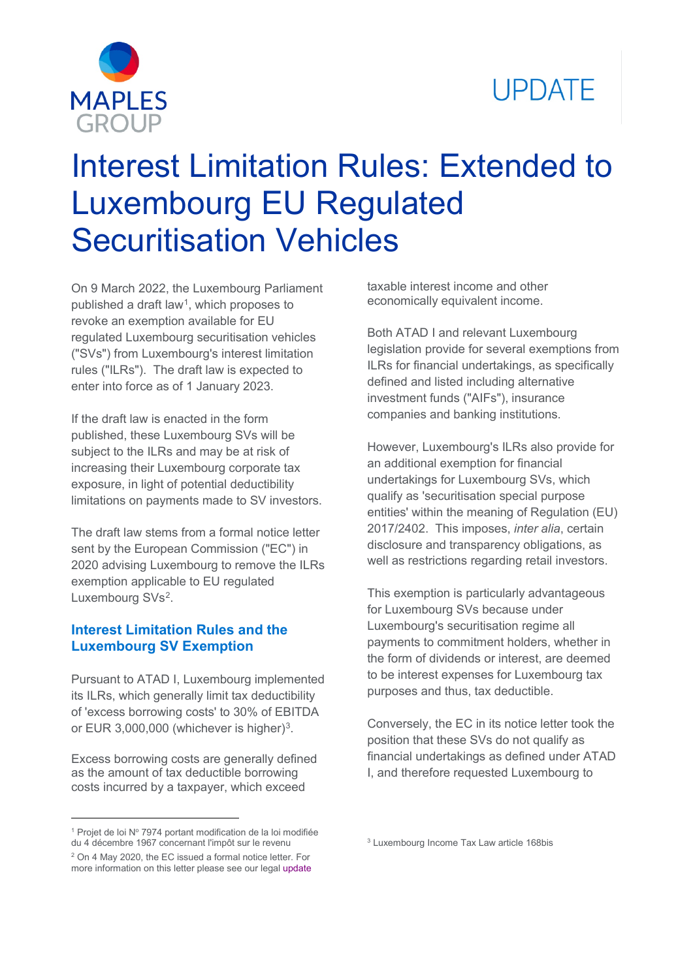



# Interest Limitation Rules: Extended to Luxembourg EU Regulated Securitisation Vehicles

On 9 March 2022, the Luxembourg Parliament published a draft law<sup>1</sup>, which proposes to revoke an exemption available for EU regulated Luxembourg securitisation vehicles ("SVs") from Luxembourg's interest limitation rules ("ILRs"). The draft law is expected to enter into force as of 1 January 2023.

If the draft law is enacted in the form published, these Luxembourg SVs will be subject to the ILRs and may be at risk of increasing their Luxembourg corporate tax exposure, in light of potential deductibility limitations on payments made to SV investors.

The draft law stems from a formal notice letter sent by the European Commission ("EC") in 2020 advising Luxembourg to remove the ILRs exemption applicable to EU regulated Luxembourg SVs<sup>[2](#page-0-1)</sup>.

## **Interest Limitation Rules and the Luxembourg SV Exemption**

Pursuant to ATAD I, Luxembourg implemented its ILRs, which generally limit tax deductibility of 'excess borrowing costs' to 30% of EBITDA or EUR 3,000,000 (whichever is higher)<sup>3</sup>.

Excess borrowing costs are generally defined as the amount of tax deductible borrowing costs incurred by a taxpayer, which exceed

<span id="page-0-2"></span><span id="page-0-0"></span> $1$  Projet de loi Nº 7974 portant modification de la loi modifiée du 4 décembre 1967 concernant l'impôt sur le revenu <sup>2</sup> On 4 May 2020, the EC issued a formal notice letter. For

taxable interest income and other economically equivalent income.

Both ATAD I and relevant Luxembourg legislation provide for several exemptions from ILRs for financial undertakings, as specifically defined and listed including alternative investment funds ("AIFs"), insurance companies and banking institutions.

However, Luxembourg's ILRs also provide for an additional exemption for financial undertakings for Luxembourg SVs, which qualify as 'securitisation special purpose entities' within the meaning of Regulation (EU) 2017/2402. This imposes, *inter alia*, certain disclosure and transparency obligations, as well as restrictions regarding retail investors.

This exemption is particularly advantageous for Luxembourg SVs because under Luxembourg's securitisation regime all payments to commitment holders, whether in the form of dividends or interest, are deemed to be interest expenses for Luxembourg tax purposes and thus, tax deductible.

Conversely, the EC in its notice letter took the position that these SVs do not qualify as financial undertakings as defined under ATAD I, and therefore requested Luxembourg to

<sup>3</sup> Luxembourg Income Tax Law article 168bis

<span id="page-0-1"></span>more information on this letter please see our legal [update](https://maples.com/-/media/files/pdfs/print-ready-version/legal-update---luxembourg-securitisation-vehicles-could-be-removed-from-atad-i-exexmption---may2020.pdf)